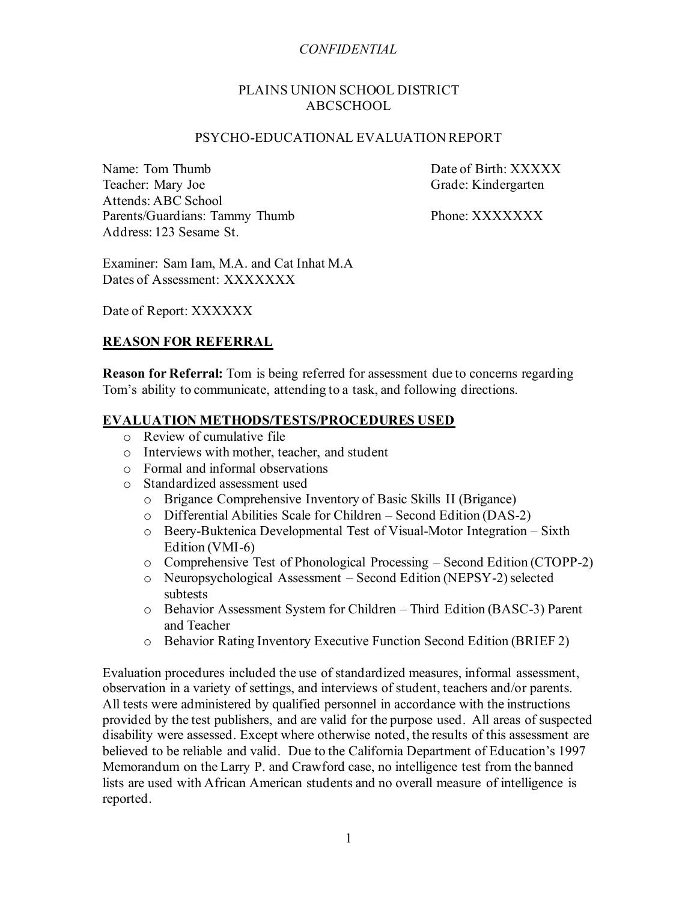#### PLAINS UNION SCHOOL DISTRICT ABCSCHOOL

#### PSYCHO-EDUCATIONAL EVALUATION REPORT

Name: Tom Thumb Date of Birth: XXXXX Teacher: Mary Joe Grade: Kindergarten Attends: ABC School Parents/Guardians: Tammy Thumb Phone: XXXXXXXX Address: 123 Sesame St.

Examiner: Sam Iam, M.A. and Cat Inhat M.A Dates of Assessment: XXXXXXX

Date of Report: XXXXXX

### **REASON FOR REFERRAL**

**Reason for Referral:** Tom is being referred for assessment due to concerns regarding Tom's ability to communicate, attending to a task, and following directions.

### **EVALUATION METHODS/TESTS/PROCEDURES USED**

- o Review of cumulative file
- o Interviews with mother, teacher, and student
- o Formal and informal observations
- o Standardized assessment used
	- o Brigance Comprehensive Inventory of Basic Skills II (Brigance)
	- o Differential Abilities Scale for Children Second Edition (DAS-2)
	- o Beery-Buktenica Developmental Test of Visual-Motor Integration Sixth Edition (VMI-6)
	- o Comprehensive Test of Phonological Processing Second Edition (CTOPP-2)
	- o Neuropsychological Assessment Second Edition (NEPSY-2)selected subtests
	- o Behavior Assessment System for Children Third Edition (BASC-3) Parent and Teacher
	- o Behavior Rating Inventory Executive Function Second Edition (BRIEF 2)

Evaluation procedures included the use of standardized measures, informal assessment, observation in a variety of settings, and interviews of student, teachers and/or parents. All tests were administered by qualified personnel in accordance with the instructions provided by the test publishers, and are valid for the purpose used. All areas of suspected disability were assessed. Except where otherwise noted, the results of this assessment are believed to be reliable and valid. Due to the California Department of Education's 1997 Memorandum on the Larry P. and Crawford case, no intelligence test from the banned lists are used with African American students and no overall measure of intelligence is reported.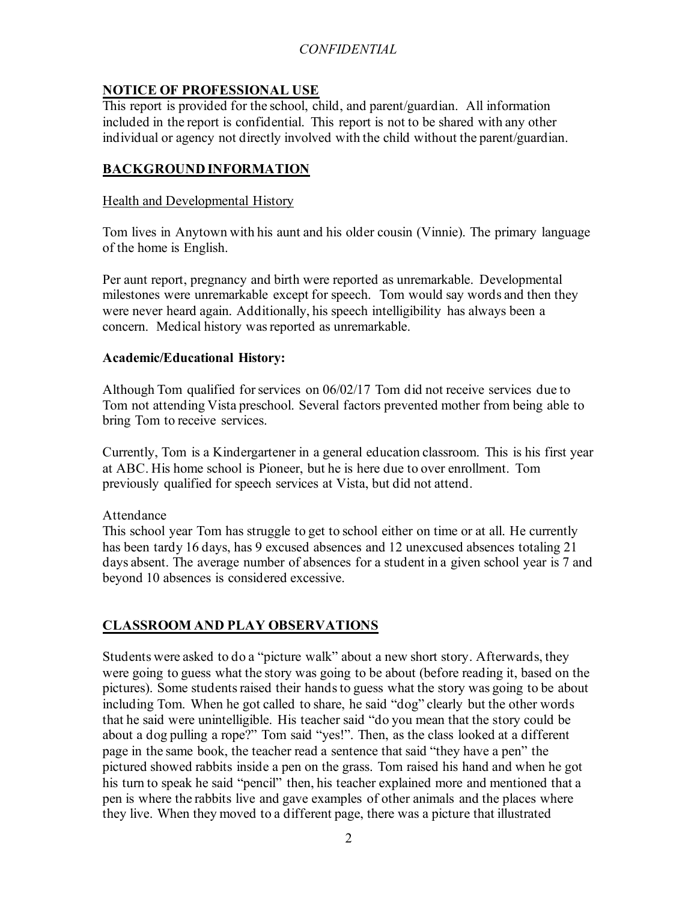## **NOTICE OF PROFESSIONAL USE**

This report is provided for the school, child, and parent/guardian. All information included in the report is confidential. This report is not to be shared with any other individual or agency not directly involved with the child without the parent/guardian.

## **BACKGROUND INFORMATION**

### Health and Developmental History

Tom lives in Anytown with his aunt and his older cousin (Vinnie). The primary language of the home is English.

Per aunt report, pregnancy and birth were reported as unremarkable. Developmental milestones were unremarkable except for speech. Tom would say words and then they were never heard again. Additionally, his speech intelligibility has always been a concern. Medical history was reported as unremarkable.

### **Academic/Educational History:**

Although Tom qualified for services on 06/02/17 Tom did not receive services due to Tom not attending Vista preschool. Several factors prevented mother from being able to bring Tom to receive services.

Currently, Tom is a Kindergartener in a general education classroom. This is his first year at ABC. His home school is Pioneer, but he is here due to over enrollment. Tom previously qualified for speech services at Vista, but did not attend.

#### Attendance

This school year Tom has struggle to get to school either on time or at all. He currently has been tardy 16 days, has 9 excused absences and 12 unexcused absences totaling 21 days absent. The average number of absences for a student in a given school year is 7 and beyond 10 absences is considered excessive.

### **CLASSROOM AND PLAY OBSERVATIONS**

Students were asked to do a "picture walk" about a new short story. Afterwards, they were going to guess what the story was going to be about (before reading it, based on the pictures). Some students raised their hands to guess what the story was going to be about including Tom. When he got called to share, he said "dog" clearly but the other words that he said were unintelligible. His teacher said "do you mean that the story could be about a dog pulling a rope?" Tom said "yes!". Then, as the class looked at a different page in the same book, the teacher read a sentence that said "they have a pen" the pictured showed rabbits inside a pen on the grass. Tom raised his hand and when he got his turn to speak he said "pencil" then, his teacher explained more and mentioned that a pen is where the rabbits live and gave examples of other animals and the places where they live. When they moved to a different page, there was a picture that illustrated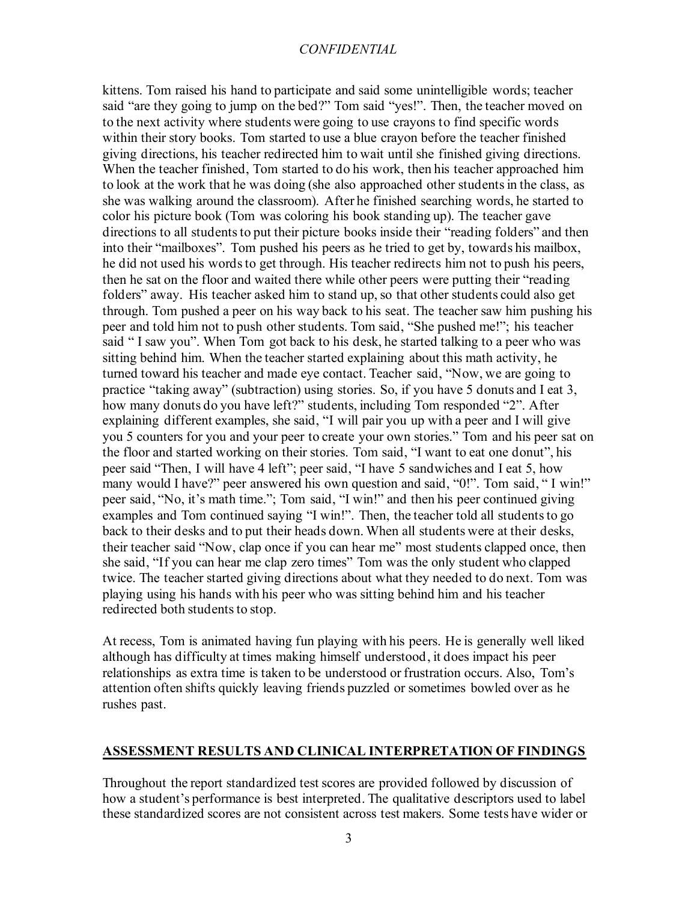kittens. Tom raised his hand to participate and said some unintelligible words; teacher said "are they going to jump on the bed?" Tom said "yes!". Then, the teacher moved on to the next activity where students were going to use crayons to find specific words within their story books. Tom started to use a blue crayon before the teacher finished giving directions, his teacher redirected him to wait until she finished giving directions. When the teacher finished, Tom started to do his work, then his teacher approached him to look at the work that he was doing (she also approached other students in the class, as she was walking around the classroom). After he finished searching words, he started to color his picture book (Tom was coloring his book standing up). The teacher gave directions to all students to put their picture books inside their "reading folders" and then into their "mailboxes". Tom pushed his peers as he tried to get by, towards his mailbox, he did not used his words to get through. His teacher redirects him not to push his peers, then he sat on the floor and waited there while other peers were putting their "reading folders" away. His teacher asked him to stand up, so that other students could also get through. Tom pushed a peer on his way back to his seat. The teacher saw him pushing his peer and told him not to push other students. Tom said, "She pushed me!"; his teacher said " I saw you". When Tom got back to his desk, he started talking to a peer who was sitting behind him. When the teacher started explaining about this math activity, he turned toward his teacher and made eye contact. Teacher said, "Now, we are going to practice "taking away" (subtraction) using stories. So, if you have 5 donuts and I eat 3, how many donuts do you have left?" students, including Tom responded "2". After explaining different examples, she said, "I will pair you up with a peer and I will give you 5 counters for you and your peer to create your own stories." Tom and his peer sat on the floor and started working on their stories. Tom said, "I want to eat one donut", his peer said "Then, I will have 4 left"; peer said, "I have 5 sandwiches and I eat 5, how many would I have?" peer answered his own question and said, "0!". Tom said, "I win!" peer said, "No, it's math time."; Tom said, "I win!" and then his peer continued giving examples and Tom continued saying "I win!". Then, the teacher told all students to go back to their desks and to put their heads down. When all students were at their desks, their teacher said "Now, clap once if you can hear me" most students clapped once, then she said, "If you can hear me clap zero times" Tom was the only student who clapped twice. The teacher started giving directions about what they needed to do next. Tom was playing using his hands with his peer who was sitting behind him and his teacher redirected both students to stop.

At recess, Tom is animated having fun playing with his peers. He is generally well liked although has difficulty at times making himself understood, it does impact his peer relationships as extra time is taken to be understood or frustration occurs. Also, Tom's attention often shifts quickly leaving friends puzzled or sometimes bowled over as he rushes past.

#### **ASSESSMENT RESULTS AND CLINICAL INTERPRETATION OF FINDINGS**

Throughout the report standardized test scores are provided followed by discussion of how a student's performance is best interpreted. The qualitative descriptors used to label these standardized scores are not consistent across test makers. Some tests have wider or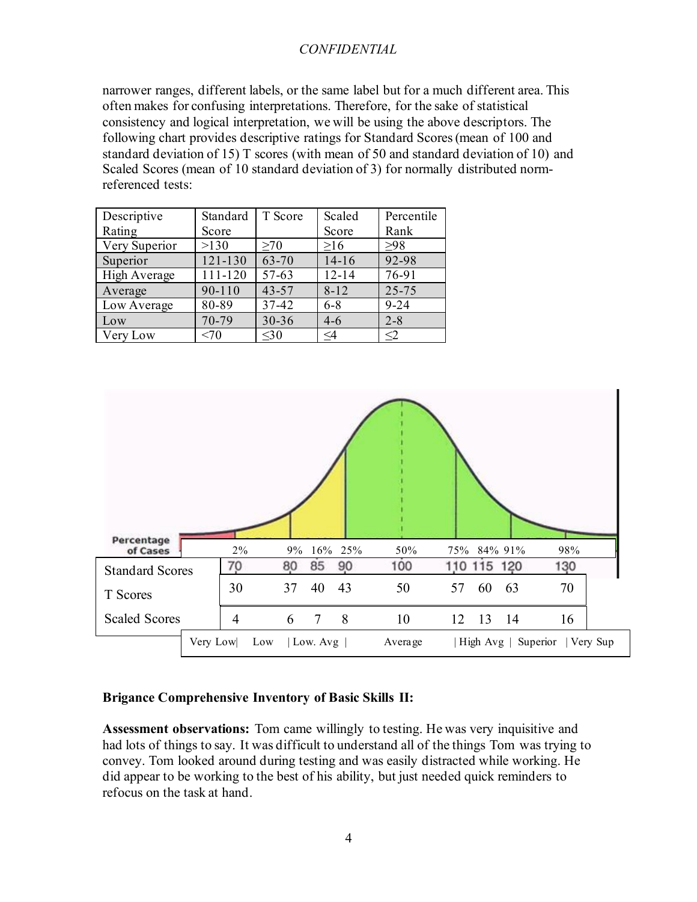narrower ranges, different labels, or the same label but for a much different area. This often makes for confusing interpretations. Therefore, for the sake of statistical consistency and logical interpretation, we will be using the above descriptors. The following chart provides descriptive ratings for Standard Scores (mean of 100 and standard deviation of 15) T scores (with mean of 50 and standard deviation of 10) and Scaled Scores (mean of 10 standard deviation of 3) for normally distributed normreferenced tests:

| Descriptive   | Standard    | T Score   | Scaled    | Percentile |
|---------------|-------------|-----------|-----------|------------|
| Rating        | Score       |           | Score     | Rank       |
| Very Superior | >130        | >70       | >16       | $>98$      |
| Superior      | $121 - 130$ | 63-70     | $14-16$   | 92-98      |
| High Average  | 111-120     | 57-63     | $12 - 14$ | 76-91      |
| Average       | 90-110      | $43 - 57$ | $8 - 12$  | $25 - 75$  |
| Low Average   | 80-89       | 37-42     | $6 - 8$   | $9 - 24$   |
| Low           | 70-79       | 30-36     | $4 - 6$   | $2 - 8$    |
| Very Low      | <70         | $<$ 30    | $\leq$ 4  | $\leq$ 2   |



#### **Brigance Comprehensive Inventory of Basic Skills II:**

**Assessment observations:** Tom came willingly to testing. He was very inquisitive and had lots of things to say. It was difficult to understand all of the things Tom was trying to convey. Tom looked around during testing and was easily distracted while working. He did appear to be working to the best of his ability, but just needed quick reminders to refocus on the task at hand.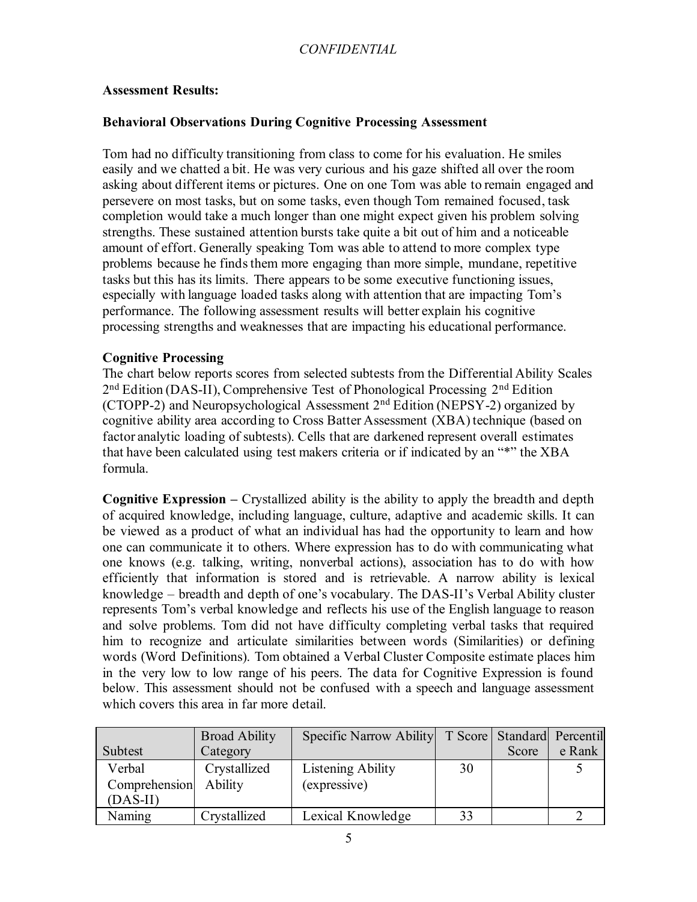#### **Assessment Results:**

#### **Behavioral Observations During Cognitive Processing Assessment**

Tom had no difficulty transitioning from class to come for his evaluation. He smiles easily and we chatted a bit. He was very curious and his gaze shifted all over the room asking about different items or pictures. One on one Tom was able to remain engaged and persevere on most tasks, but on some tasks, even though Tom remained focused, task completion would take a much longer than one might expect given his problem solving strengths. These sustained attention bursts take quite a bit out of him and a noticeable amount of effort. Generally speaking Tom was able to attend to more complex type problems because he finds them more engaging than more simple, mundane, repetitive tasks but this has its limits. There appears to be some executive functioning issues, especially with language loaded tasks along with attention that are impacting Tom's performance. The following assessment results will better explain his cognitive processing strengths and weaknesses that are impacting his educational performance.

#### **Cognitive Processing**

The chart below reports scores from selected subtests from the Differential Ability Scales 2<sup>nd</sup> Edition (DAS-II), Comprehensive Test of Phonological Processing 2<sup>nd</sup> Edition (CTOPP-2) and Neuropsychological Assessment  $2<sup>nd</sup>$  Edition (NEPSY-2) organized by cognitive ability area according to Cross Batter Assessment (XBA) technique (based on factor analytic loading of subtests). Cells that are darkened represent overall estimates that have been calculated using test makers criteria or if indicated by an "\*" the XBA formula.

**Cognitive Expression –** Crystallized ability is the ability to apply the breadth and depth of acquired knowledge, including language, culture, adaptive and academic skills. It can be viewed as a product of what an individual has had the opportunity to learn and how one can communicate it to others. Where expression has to do with communicating what one knows (e.g. talking, writing, nonverbal actions), association has to do with how efficiently that information is stored and is retrievable. A narrow ability is lexical knowledge – breadth and depth of one's vocabulary. The DAS-II's Verbal Ability cluster represents Tom's verbal knowledge and reflects his use of the English language to reason and solve problems. Tom did not have difficulty completing verbal tasks that required him to recognize and articulate similarities between words (Similarities) or defining words (Word Definitions). Tom obtained a Verbal Cluster Composite estimate places him in the very low to low range of his peers. The data for Cognitive Expression is found below. This assessment should not be confused with a speech and language assessment which covers this area in far more detail.

|                       | <b>Broad Ability</b> | Specific Narrow Ability   T Score   Standard   Percentil |    |       |        |
|-----------------------|----------------------|----------------------------------------------------------|----|-------|--------|
| Subtest               | Category             |                                                          |    | Score | e Rank |
| Verbal                | Crystallized         | Listening Ability                                        | 30 |       |        |
| Comprehension Ability |                      | (expressive)                                             |    |       |        |
| $(DAS-II)$            |                      |                                                          |    |       |        |
| Naming                | Crystallized         | Lexical Knowledge                                        | 33 |       |        |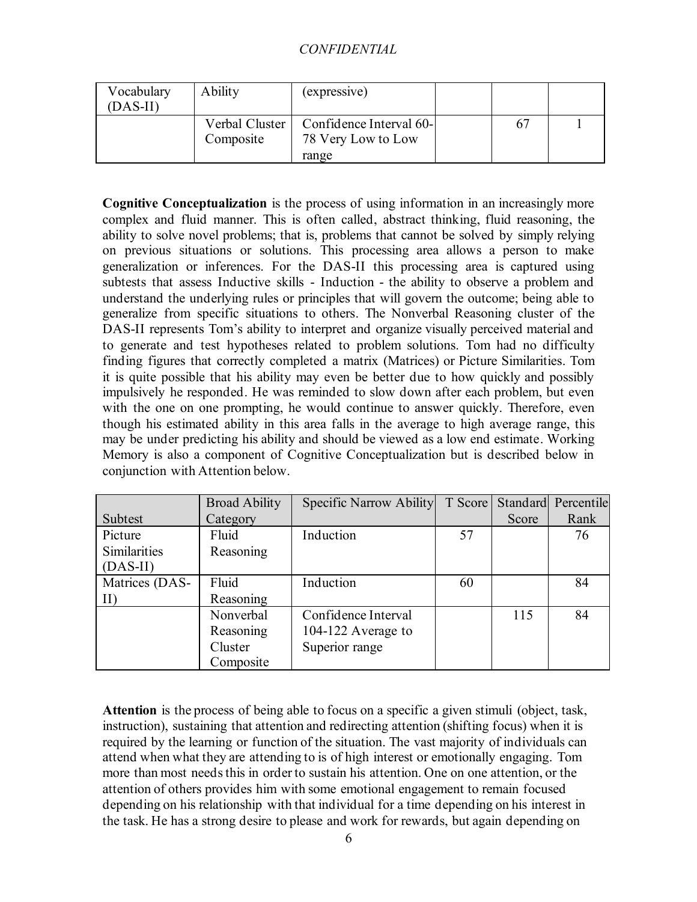| Vocabulary<br>(DAS-II) | Ability                       | (expressive)                                  |  |  |
|------------------------|-------------------------------|-----------------------------------------------|--|--|
|                        | Verbal Cluster  <br>Composite | Confidence Interval 60-<br>78 Very Low to Low |  |  |
|                        |                               | range                                         |  |  |

**Cognitive Conceptualization** is the process of using information in an increasingly more complex and fluid manner. This is often called, abstract thinking, fluid reasoning, the ability to solve novel problems; that is, problems that cannot be solved by simply relying on previous situations or solutions. This processing area allows a person to make generalization or inferences. For the DAS-II this processing area is captured using subtests that assess Inductive skills - Induction - the ability to observe a problem and understand the underlying rules or principles that will govern the outcome; being able to generalize from specific situations to others. The Nonverbal Reasoning cluster of the DAS-II represents Tom's ability to interpret and organize visually perceived material and to generate and test hypotheses related to problem solutions. Tom had no difficulty finding figures that correctly completed a matrix (Matrices) or Picture Similarities. Tom it is quite possible that his ability may even be better due to how quickly and possibly impulsively he responded. He was reminded to slow down after each problem, but even with the one on one prompting, he would continue to answer quickly. Therefore, even though his estimated ability in this area falls in the average to high average range, this may be under predicting his ability and should be viewed as a low end estimate. Working Memory is also a component of Cognitive Conceptualization but is described below in conjunction with Attention below.

|                     | <b>Broad Ability</b> | Specific Narrow Ability | T Score |       | Standard Percentile |
|---------------------|----------------------|-------------------------|---------|-------|---------------------|
| Subtest             | Category             |                         |         | Score | Rank                |
| Picture             | Fluid                | Induction               | 57      |       | 76                  |
| <b>Similarities</b> | Reasoning            |                         |         |       |                     |
| $(DAS-II)$          |                      |                         |         |       |                     |
| Matrices (DAS-      | Fluid                | Induction               | 60      |       | 84                  |
| $\rm{II}$           | Reasoning            |                         |         |       |                     |
|                     | Nonverbal            | Confidence Interval     |         | 115   | 84                  |
|                     | Reasoning            | 104-122 Average to      |         |       |                     |
|                     | Cluster              | Superior range          |         |       |                     |
|                     | Composite            |                         |         |       |                     |

**Attention** is the process of being able to focus on a specific a given stimuli (object, task, instruction), sustaining that attention and redirecting attention (shifting focus) when it is required by the learning or function of the situation. The vast majority of individuals can attend when what they are attending to is of high interest or emotionally engaging. Tom more than most needs this in order to sustain his attention. One on one attention, or the attention of others provides him with some emotional engagement to remain focused depending on his relationship with that individual for a time depending on his interest in the task. He has a strong desire to please and work for rewards, but again depending on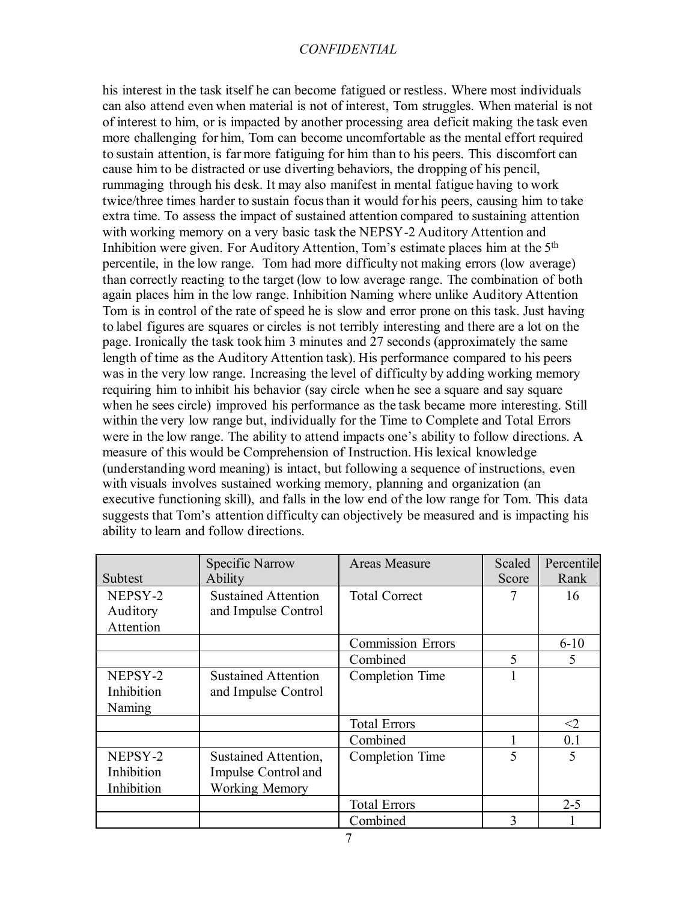his interest in the task itself he can become fatigued or restless. Where most individuals can also attend even when material is not of interest, Tom struggles. When material is not of interest to him, or is impacted by another processing area deficit making the task even more challenging for him, Tom can become uncomfortable as the mental effort required to sustain attention, is far more fatiguing for him than to his peers. This discomfort can cause him to be distracted or use diverting behaviors, the dropping of his pencil, rummaging through his desk. It may also manifest in mental fatigue having to work twice/three times harder to sustain focus than it would for his peers, causing him to take extra time. To assess the impact of sustained attention compared to sustaining attention with working memory on a very basic task the NEPSY-2 Auditory Attention and Inhibition were given. For Auditory Attention, Tom's estimate places him at the 5<sup>th</sup> percentile, in the low range. Tom had more difficulty not making errors (low average) than correctly reacting to the target (low to low average range. The combination of both again places him in the low range. Inhibition Naming where unlike Auditory Attention Tom is in control of the rate of speed he is slow and error prone on this task. Just having to label figures are squares or circles is not terribly interesting and there are a lot on the page. Ironically the task took him 3 minutes and 27 seconds (approximately the same length of time as the Auditory Attention task). His performance compared to his peers was in the very low range. Increasing the level of difficulty by adding working memory requiring him to inhibit his behavior (say circle when he see a square and say square when he sees circle) improved his performance as the task became more interesting. Still within the very low range but, individually for the Time to Complete and Total Errors were in the low range. The ability to attend impacts one's ability to follow directions. A measure of this would be Comprehension of Instruction. His lexical knowledge (understanding word meaning) is intact, but following a sequence of instructions, even with visuals involves sustained working memory, planning and organization (an executive functioning skill), and falls in the low end of the low range for Tom. This data suggests that Tom's attention difficulty can objectively be measured and is impacting his ability to learn and follow directions.

|            | <b>Specific Narrow</b>     | <b>Areas Measure</b>     | Scaled | Percentile |
|------------|----------------------------|--------------------------|--------|------------|
| Subtest    | <b>Ability</b>             |                          | Score  | Rank       |
| NEPSY-2    | <b>Sustained Attention</b> | <b>Total Correct</b>     | 7      | 16         |
| Auditory   | and Impulse Control        |                          |        |            |
| Attention  |                            |                          |        |            |
|            |                            | <b>Commission Errors</b> |        | $6 - 10$   |
|            |                            | Combined                 | 5      | 5          |
| NEPSY-2    | <b>Sustained Attention</b> | <b>Completion Time</b>   |        |            |
| Inhibition | and Impulse Control        |                          |        |            |
| Naming     |                            |                          |        |            |
|            |                            | <b>Total Errors</b>      |        | $\leq$ 2   |
|            |                            | Combined                 |        | 0.1        |
| NEPSY-2    | Sustained Attention,       | Completion Time          | 5      | 5          |
| Inhibition | Impulse Control and        |                          |        |            |
| Inhibition | <b>Working Memory</b>      |                          |        |            |
|            |                            | <b>Total Errors</b>      |        | $2 - 5$    |
|            |                            | Combined                 | 3      |            |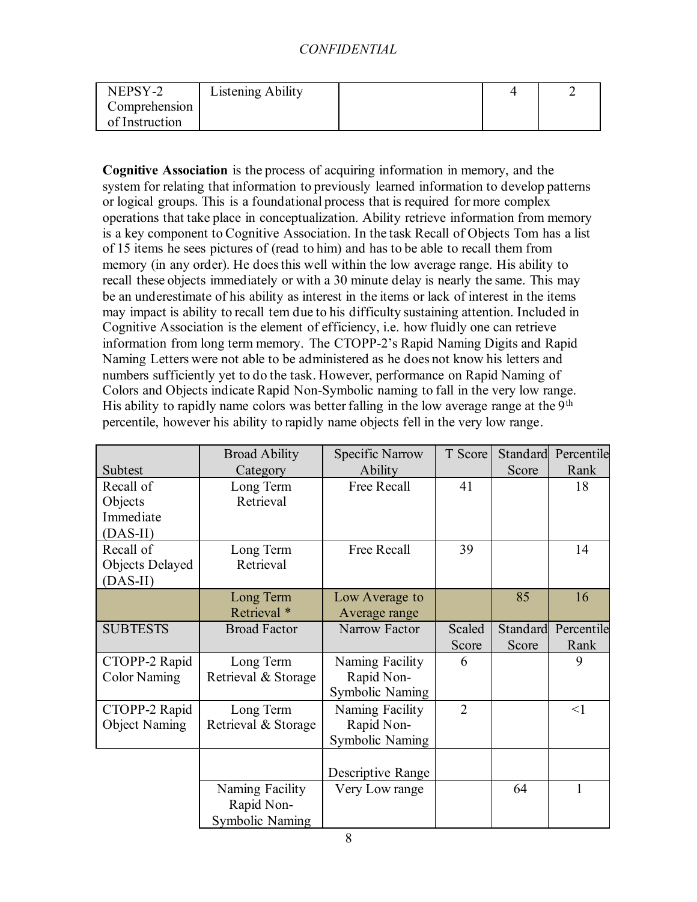| NEPSY-2        | Listening Ability |  |  |
|----------------|-------------------|--|--|
| Comprehension  |                   |  |  |
| of Instruction |                   |  |  |

**Cognitive Association** is the process of acquiring information in memory, and the system for relating that information to previously learned information to develop patterns or logical groups. This is a foundational process that is required for more complex operations that take place in conceptualization. Ability retrieve information from memory is a key component to Cognitive Association. In the task Recall of Objects Tom has a list of 15 items he sees pictures of (read to him) and has to be able to recall them from memory (in any order). He does this well within the low average range. His ability to recall these objects immediately or with a 30 minute delay is nearly the same. This may be an underestimate of his ability as interest in the items or lack of interest in the items may impact is ability to recall tem due to his difficulty sustaining attention. Included in Cognitive Association is the element of efficiency, i.e. how fluidly one can retrieve information from long term memory. The CTOPP-2's Rapid Naming Digits and Rapid Naming Letters were not able to be administered as he does not know his letters and numbers sufficiently yet to do the task. However, performance on Rapid Naming of Colors and Objects indicate Rapid Non-Symbolic naming to fall in the very low range. His ability to rapidly name colors was better falling in the low average range at the  $9<sup>th</sup>$ percentile, however his ability to rapidly name objects fell in the very low range.

|                      | <b>Broad Ability</b>   | <b>Specific Narrow</b> | T Score        | Standard | Percentile |
|----------------------|------------------------|------------------------|----------------|----------|------------|
| Subtest              | Category               | Ability                |                | Score    | Rank       |
| Recall of            | Long Term              | Free Recall            | 41             |          | 18         |
| Objects              | Retrieval              |                        |                |          |            |
| Immediate            |                        |                        |                |          |            |
| $(DAS-II)$           |                        |                        |                |          |            |
| Recall of            | Long Term              | Free Recall            | 39             |          | 14         |
| Objects Delayed      | Retrieval              |                        |                |          |            |
| $(DAS-II)$           |                        |                        |                |          |            |
|                      | Long Term              | Low Average to         |                | 85       | 16         |
|                      | Retrieval *            | Average range          |                |          |            |
| <b>SUBTESTS</b>      | <b>Broad Factor</b>    |                        | Scaled         | Standard | Percentile |
|                      |                        |                        | Score          | Score    | Rank       |
| CTOPP-2 Rapid        | Long Term              | Naming Facility        | 6              |          | 9          |
| <b>Color Naming</b>  | Retrieval & Storage    | Rapid Non-             |                |          |            |
|                      |                        | <b>Symbolic Naming</b> |                |          |            |
| CTOPP-2 Rapid        | Long Term              | Naming Facility        | $\overline{2}$ |          | $\leq$ 1   |
| <b>Object Naming</b> | Retrieval & Storage    | Rapid Non-             |                |          |            |
|                      |                        | <b>Symbolic Naming</b> |                |          |            |
|                      |                        |                        |                |          |            |
|                      |                        | Descriptive Range      |                |          |            |
|                      | Naming Facility        | Very Low range         |                | 64       | 1          |
|                      | Rapid Non-             |                        |                |          |            |
|                      | <b>Symbolic Naming</b> |                        |                |          |            |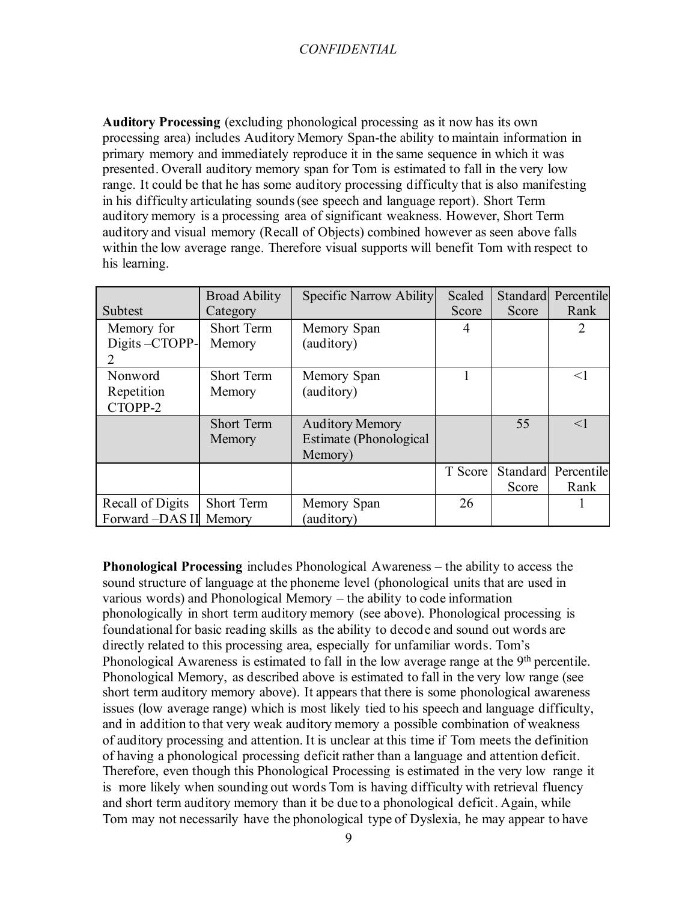**Auditory Processing** (excluding phonological processing as it now has its own processing area) includes Auditory Memory Span-the ability to maintain information in primary memory and immediately reproduce it in the same sequence in which it was presented. Overall auditory memory span for Tom is estimated to fall in the very low range. It could be that he has some auditory processing difficulty that is also manifesting in his difficulty articulating sounds (see speech and language report). Short Term auditory memory is a processing area of significant weakness. However, Short Term auditory and visual memory (Recall of Objects) combined however as seen above falls within the low average range. Therefore visual supports will benefit Tom with respect to his learning.

|                  | <b>Broad Ability</b> | Specific Narrow Ability | Scaled  |       | Standard Percentile |
|------------------|----------------------|-------------------------|---------|-------|---------------------|
| Subtest          | Category             |                         | Score   | Score | Rank                |
| Memory for       | <b>Short Term</b>    | Memory Span             | 4       |       | $\overline{2}$      |
| Digits-CTOPP-    | Memory               | (auditory)              |         |       |                     |
| 2                |                      |                         |         |       |                     |
| Nonword          | <b>Short Term</b>    | Memory Span             |         |       | $<$ 1               |
| Repetition       | Memory               | (auditory)              |         |       |                     |
| CTOPP-2          |                      |                         |         |       |                     |
|                  | <b>Short Term</b>    | <b>Auditory Memory</b>  |         | 55    | $\leq$ 1            |
|                  | Memory               | Estimate (Phonological  |         |       |                     |
|                  |                      | Memory)                 |         |       |                     |
|                  |                      |                         | T Score |       | Standard Percentile |
|                  |                      |                         |         | Score | Rank                |
| Recall of Digits | <b>Short Term</b>    | Memory Span             | 26      |       |                     |
| Forward -DAS II  | Memory               | (auditory)              |         |       |                     |

**Phonological Processing** includes Phonological Awareness – the ability to access the sound structure of language at the phoneme level (phonological units that are used in various words) and Phonological Memory – the ability to code information phonologically in short term auditory memory (see above). Phonological processing is foundational for basic reading skills as the ability to decode and sound out words are directly related to this processing area, especially for unfamiliar words. Tom's Phonological Awareness is estimated to fall in the low average range at the 9<sup>th</sup> percentile. Phonological Memory, as described above is estimated to fall in the very low range (see short term auditory memory above). It appears that there is some phonological awareness issues (low average range) which is most likely tied to his speech and language difficulty, and in addition to that very weak auditory memory a possible combination of weakness of auditory processing and attention. It is unclear at this time if Tom meets the definition of having a phonological processing deficit rather than a language and attention deficit. Therefore, even though this Phonological Processing is estimated in the very low range it is more likely when sounding out words Tom is having difficulty with retrieval fluency and short term auditory memory than it be due to a phonological deficit. Again, while Tom may not necessarily have the phonological type of Dyslexia, he may appear to have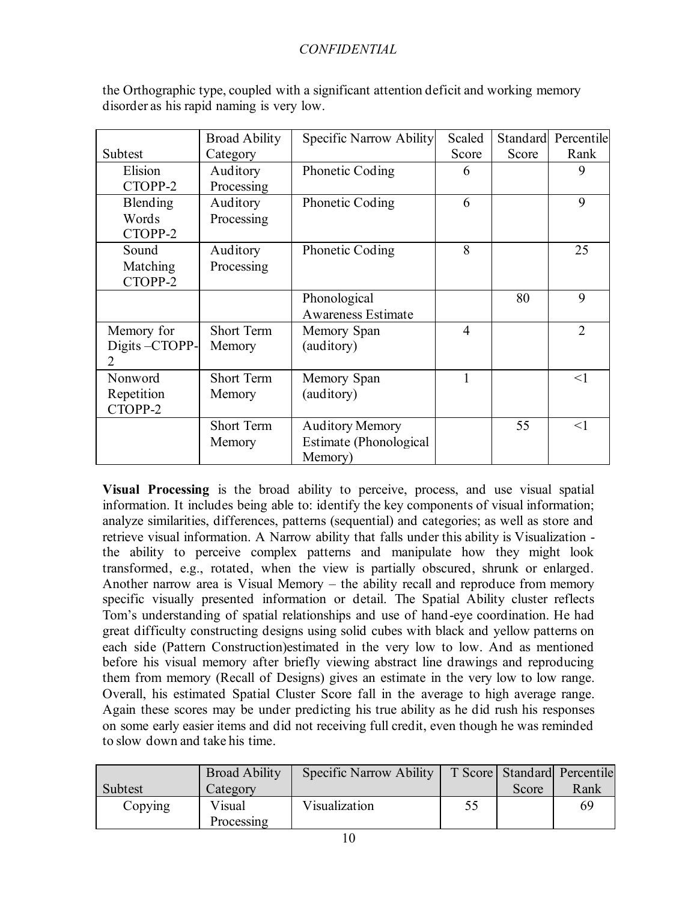|               | <b>Broad Ability</b> | Specific Narrow Ability   | Scaled         |       | Standard Percentile |
|---------------|----------------------|---------------------------|----------------|-------|---------------------|
| Subtest       | Category             |                           | Score          | Score | Rank                |
| Elision       | Auditory             | Phonetic Coding           | 6              |       | 9                   |
| CTOPP-2       | Processing           |                           |                |       |                     |
| Blending      | Auditory             | Phonetic Coding           | 6              |       | 9                   |
| Words         | Processing           |                           |                |       |                     |
| CTOPP-2       |                      |                           |                |       |                     |
| Sound         | Auditory             | Phonetic Coding           | 8              |       | 25                  |
| Matching      | Processing           |                           |                |       |                     |
| CTOPP-2       |                      |                           |                |       |                     |
|               |                      | Phonological              |                | 80    | 9                   |
|               |                      | <b>Awareness Estimate</b> |                |       |                     |
| Memory for    | <b>Short Term</b>    | Memory Span               | $\overline{4}$ |       | $\overline{2}$      |
| Digits-CTOPP- | Memory               | (auditory)                |                |       |                     |
| 2             |                      |                           |                |       |                     |
| Nonword       | <b>Short Term</b>    | Memory Span               | 1              |       | $\leq$ 1            |
| Repetition    | Memory               | (auditory)                |                |       |                     |
| CTOPP-2       |                      |                           |                |       |                     |
|               | <b>Short Term</b>    | <b>Auditory Memory</b>    |                | 55    | <1                  |
|               | Memory               | Estimate (Phonological    |                |       |                     |
|               |                      | Memory)                   |                |       |                     |

the Orthographic type, coupled with a significant attention deficit and working memory disorder as his rapid naming is very low.

**Visual Processing** is the broad ability to perceive, process, and use visual spatial information. It includes being able to: identify the key components of visual information; analyze similarities, differences, patterns (sequential) and categories; as well as store and retrieve visual information. A Narrow ability that falls under this ability is Visualization the ability to perceive complex patterns and manipulate how they might look transformed, e.g., rotated, when the view is partially obscured, shrunk or enlarged. Another narrow area is Visual Memory – the ability recall and reproduce from memory specific visually presented information or detail. The Spatial Ability cluster reflects Tom's understanding of spatial relationships and use of hand-eye coordination. He had great difficulty constructing designs using solid cubes with black and yellow patterns on each side (Pattern Construction)estimated in the very low to low. And as mentioned before his visual memory after briefly viewing abstract line drawings and reproducing them from memory (Recall of Designs) gives an estimate in the very low to low range. Overall, his estimated Spatial Cluster Score fall in the average to high average range. Again these scores may be under predicting his true ability as he did rush his responses on some early easier items and did not receiving full credit, even though he was reminded to slow down and take his time.

|                | <b>Broad Ability</b> | Specific Narrow Ability |    |       | T Score Standard Percentile |
|----------------|----------------------|-------------------------|----|-------|-----------------------------|
| <b>Subtest</b> | Category             |                         |    | Score | Rank                        |
| Copying        | Visual<br>Processing | Visualization           | 55 |       | 69                          |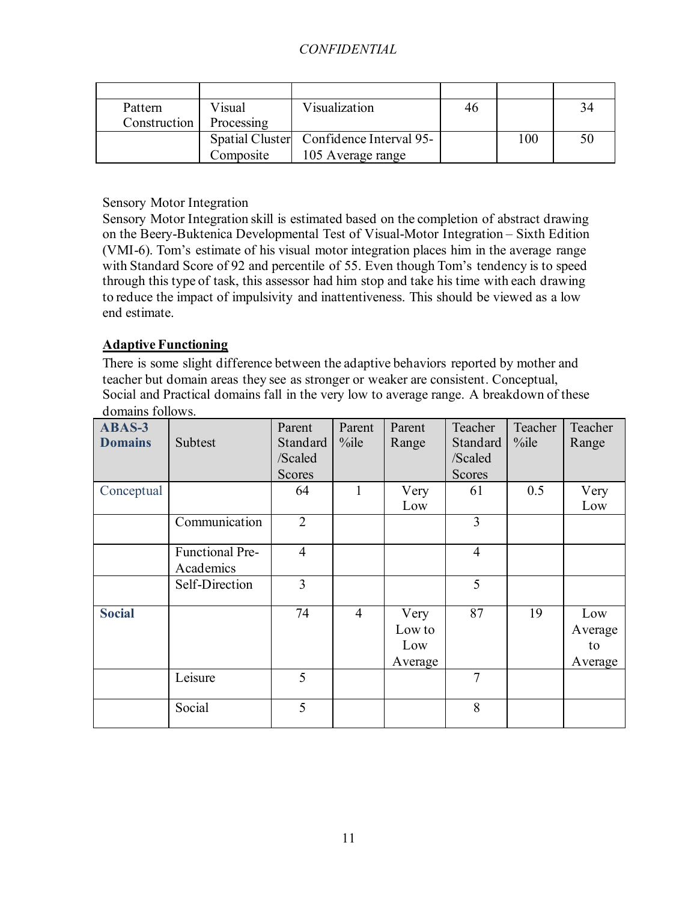| Pattern      | Visual     | Visualization                           | 46 |     | 34 |
|--------------|------------|-----------------------------------------|----|-----|----|
| Construction | Processing |                                         |    |     |    |
|              |            | Spatial Cluster Confidence Interval 95- |    | 100 | 50 |
|              | Composite  | 105 Average range                       |    |     |    |

## Sensory Motor Integration

Sensory Motor Integration skill is estimated based on the completion of abstract drawing on the Beery-Buktenica Developmental Test of Visual-Motor Integration – Sixth Edition (VMI-6). Tom's estimate of his visual motor integration places him in the average range with Standard Score of 92 and percentile of 55. Even though Tom's tendency is to speed through this type of task, this assessor had him stop and take his time with each drawing to reduce the impact of impulsivity and inattentiveness. This should be viewed as a low end estimate.

## **Adaptive Functioning**

There is some slight difference between the adaptive behaviors reported by mother and teacher but domain areas they see as stronger or weaker are consistent. Conceptual, Social and Practical domains fall in the very low to average range. A breakdown of these domains follows.

| ABAS-3<br><b>Domains</b> | Subtest                      | Parent<br>Standard<br>/Scaled<br><b>Scores</b> | Parent<br>$\%$ ile | Parent<br>Range                  | Teacher<br>Standard<br>/Scaled<br><b>Scores</b> | Teacher<br>$\%$ ile | Teacher<br>Range                |
|--------------------------|------------------------------|------------------------------------------------|--------------------|----------------------------------|-------------------------------------------------|---------------------|---------------------------------|
| Conceptual               |                              | 64                                             | 1                  | Very                             | 61                                              | 0.5                 | Very                            |
|                          | Communication                | $\overline{2}$                                 |                    | Low                              | 3                                               |                     | Low                             |
|                          |                              |                                                |                    |                                  |                                                 |                     |                                 |
|                          | Functional Pre-<br>Academics | $\overline{4}$                                 |                    |                                  | $\overline{4}$                                  |                     |                                 |
|                          | Self-Direction               | 3                                              |                    |                                  | 5                                               |                     |                                 |
| <b>Social</b>            |                              | 74                                             | $\overline{4}$     | Very<br>Low to<br>Low<br>Average | 87                                              | 19                  | Low<br>Average<br>to<br>Average |
|                          | Leisure                      | 5                                              |                    |                                  | $\overline{7}$                                  |                     |                                 |
|                          | Social                       | 5                                              |                    |                                  | 8                                               |                     |                                 |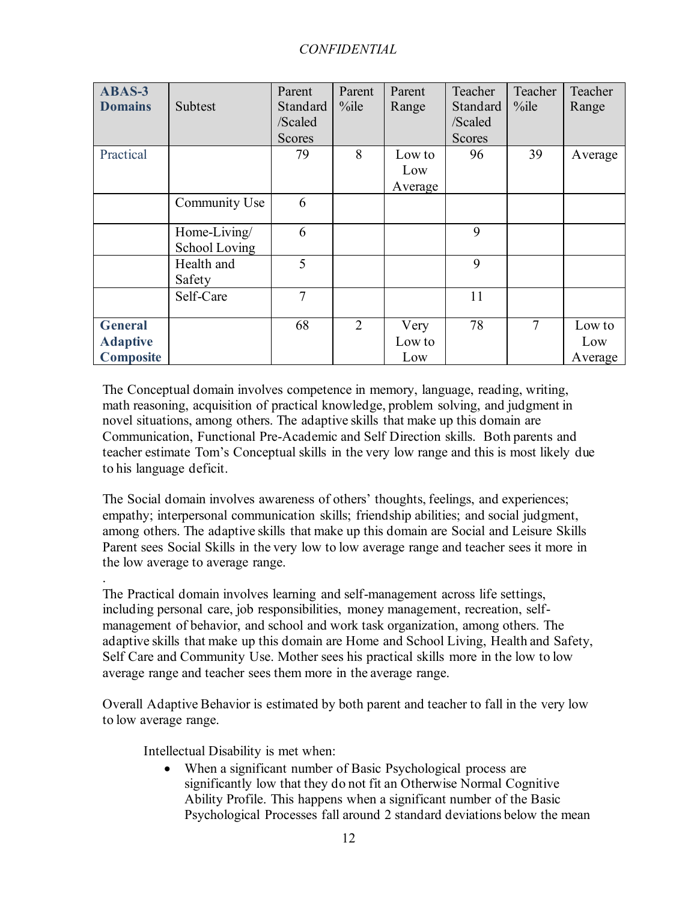| ABAS-3<br><b>Domains</b>                              | Subtest                       | Parent<br>Standard<br>/Scaled<br><b>Scores</b> | Parent<br>$\%$ ile | Parent<br>Range          | Teacher<br>Standard<br>/Scaled<br><b>Scores</b> | Teacher<br>$\%$ ile | Teacher<br>Range         |
|-------------------------------------------------------|-------------------------------|------------------------------------------------|--------------------|--------------------------|-------------------------------------------------|---------------------|--------------------------|
| Practical                                             |                               | 79                                             | 8                  | Low to<br>Low<br>Average | 96                                              | 39                  | Average                  |
|                                                       | Community Use                 | 6                                              |                    |                          |                                                 |                     |                          |
|                                                       | Home-Living/<br>School Loving | 6                                              |                    |                          | 9                                               |                     |                          |
|                                                       | Health and<br>Safety          | 5                                              |                    |                          | 9                                               |                     |                          |
|                                                       | Self-Care                     | 7                                              |                    |                          | 11                                              |                     |                          |
| <b>General</b><br><b>Adaptive</b><br><b>Composite</b> |                               | 68                                             | $\overline{2}$     | Very<br>Low to<br>Low    | 78                                              | 7                   | Low to<br>Low<br>Average |

The Conceptual domain involves competence in memory, language, reading, writing, math reasoning, acquisition of practical knowledge, problem solving, and judgment in novel situations, among others. The adaptive skills that make up this domain are Communication, Functional Pre-Academic and Self Direction skills. Both parents and teacher estimate Tom's Conceptual skills in the very low range and this is most likely due to his language deficit.

The Social domain involves awareness of others' thoughts, feelings, and experiences; empathy; interpersonal communication skills; friendship abilities; and social judgment, among others. The adaptive skills that make up this domain are Social and Leisure Skills Parent sees Social Skills in the very low to low average range and teacher sees it more in the low average to average range.

The Practical domain involves learning and self-management across life settings, including personal care, job responsibilities, money management, recreation, selfmanagement of behavior, and school and work task organization, among others. The adaptive skills that make up this domain are Home and School Living, Health and Safety, Self Care and Community Use. Mother sees his practical skills more in the low to low average range and teacher sees them more in the average range.

Overall Adaptive Behavior is estimated by both parent and teacher to fall in the very low to low average range.

Intellectual Disability is met when:

.

When a significant number of Basic Psychological process are significantly low that they do not fit an Otherwise Normal Cognitive Ability Profile. This happens when a significant number of the Basic Psychological Processes fall around 2 standard deviations below the mean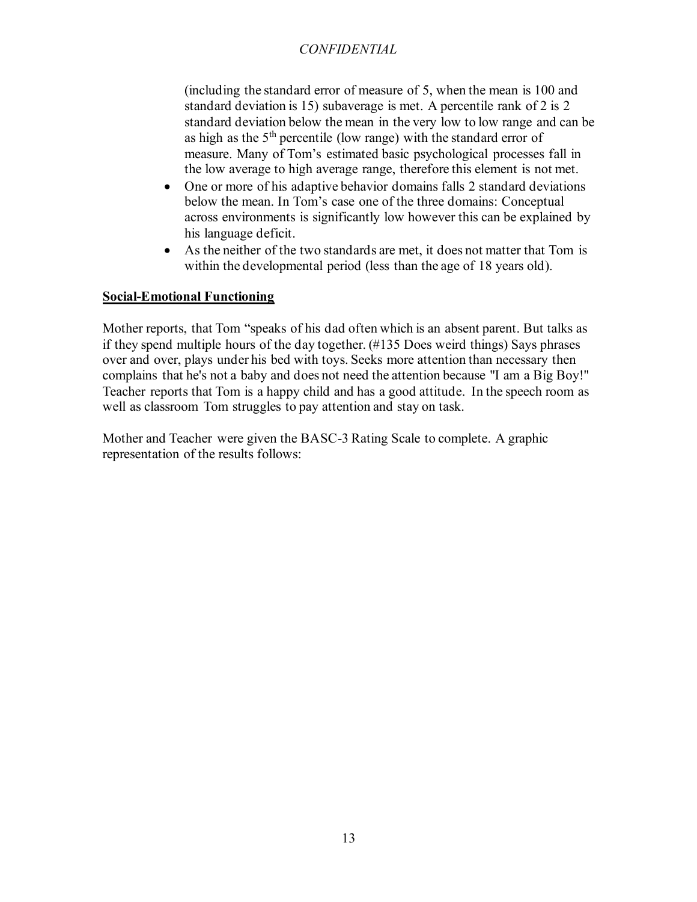(including the standard error of measure of 5, when the mean is 100 and standard deviation is 15) subaverage is met. A percentile rank of 2 is 2 standard deviation below the mean in the very low to low range and can be as high as the  $5<sup>th</sup>$  percentile (low range) with the standard error of measure. Many of Tom's estimated basic psychological processes fall in the low average to high average range, therefore this element is not met.

- One or more of his adaptive behavior domains falls 2 standard deviations below the mean. In Tom's case one of the three domains: Conceptual across environments is significantly low however this can be explained by his language deficit.
- As the neither of the two standards are met, it does not matter that Tom is within the developmental period (less than the age of 18 years old).

### **Social-Emotional Functioning**

Mother reports, that Tom "speaks of his dad often which is an absent parent. But talks as if they spend multiple hours of the day together. (#135 Does weird things) Says phrases over and over, plays under his bed with toys. Seeks more attention than necessary then complains that he's not a baby and does not need the attention because "I am a Big Boy!" Teacher reports that Tom is a happy child and has a good attitude. In the speech room as well as classroom Tom struggles to pay attention and stay on task.

Mother and Teacher were given the BASC-3 Rating Scale to complete. A graphic representation of the results follows: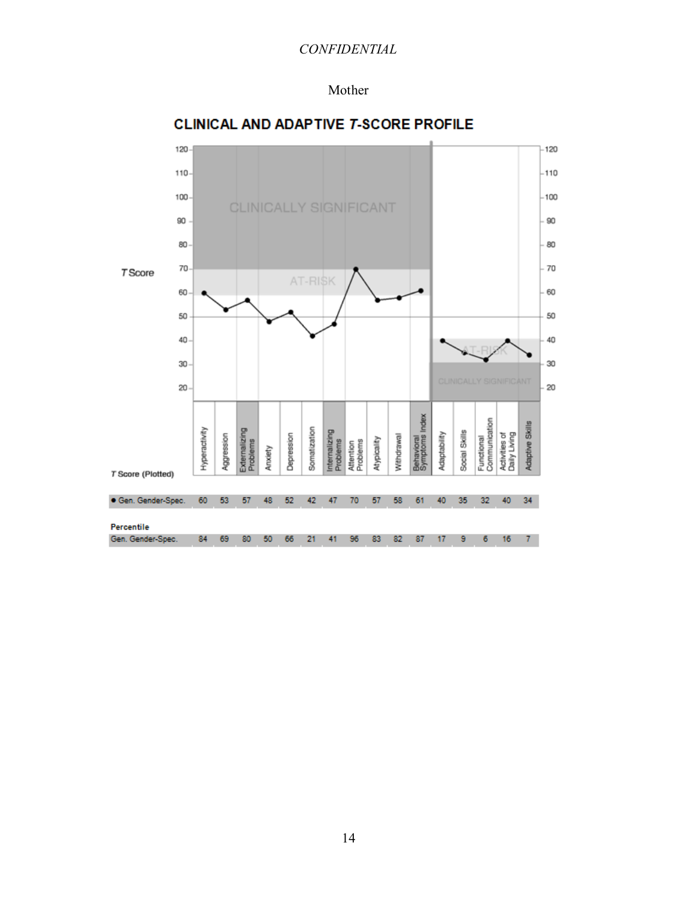#### Mother



### **CLINICAL AND ADAPTIVE T-SCORE PROFILE**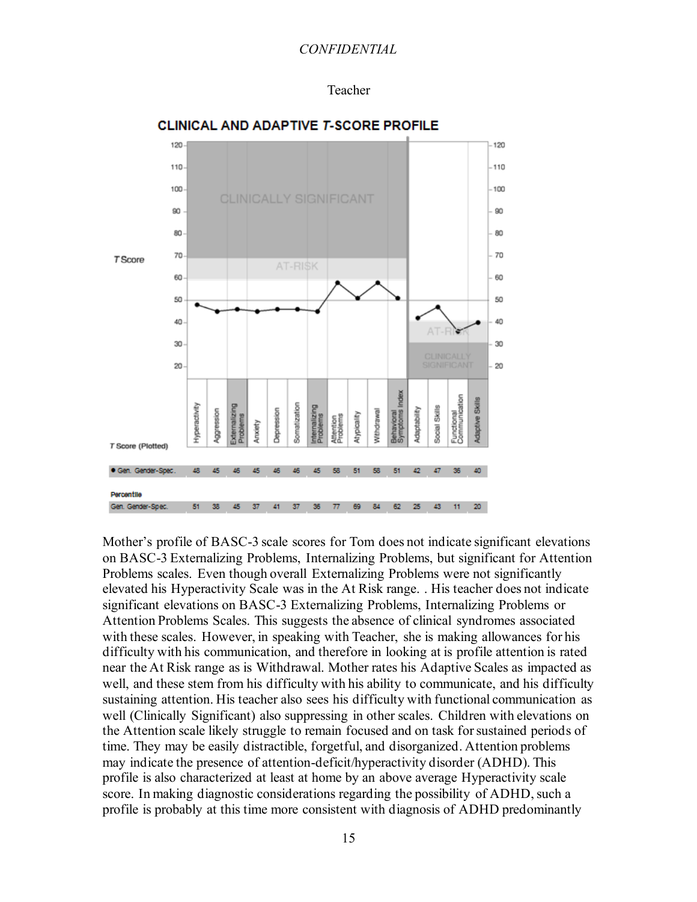



# **CLINICAL AND ADAPTIVE T-SCORE PROFILE**

Mother's profile of BASC-3 scale scores for Tom does not indicate significant elevations on BASC-3 Externalizing Problems, Internalizing Problems, but significant for Attention Problems scales. Even though overall Externalizing Problems were not significantly elevated his Hyperactivity Scale was in the At Risk range. . His teacher does not indicate significant elevations on BASC-3 Externalizing Problems, Internalizing Problems or Attention Problems Scales. This suggests the absence of clinical syndromes associated with these scales. However, in speaking with Teacher, she is making allowances for his difficulty with his communication, and therefore in looking at is profile attention is rated near the At Risk range as is Withdrawal. Mother rates his Adaptive Scales as impacted as well, and these stem from his difficulty with his ability to communicate, and his difficulty sustaining attention. His teacher also sees his difficulty with functional communication as well (Clinically Significant) also suppressing in other scales. Children with elevations on the Attention scale likely struggle to remain focused and on task for sustained periods of time. They may be easily distractible, forgetful, and disorganized. Attention problems may indicate the presence of attention-deficit/hyperactivity disorder (ADHD). This profile is also characterized at least at home by an above average Hyperactivity scale score. In making diagnostic considerations regarding the possibility of ADHD, such a profile is probably at this time more consistent with diagnosis of ADHD predominantly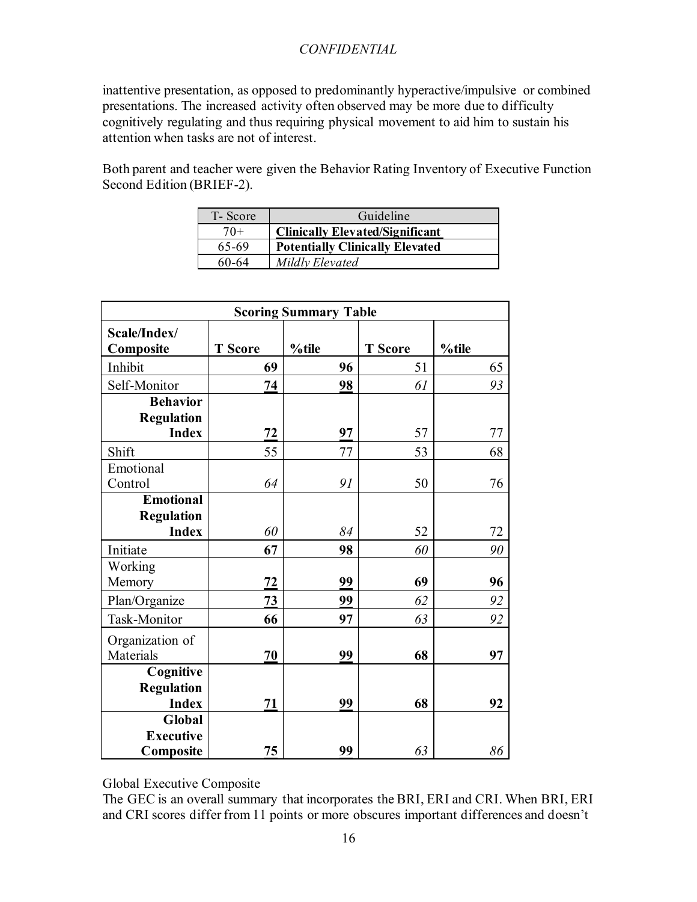inattentive presentation, as opposed to predominantly hyperactive/impulsive or combined presentations. The increased activity often observed may be more due to difficulty cognitively regulating and thus requiring physical movement to aid him to sustain his attention when tasks are not of interest.

Both parent and teacher were given the Behavior Rating Inventory of Executive Function Second Edition (BRIEF-2).

| T-Score | Guideline                              |
|---------|----------------------------------------|
| $70+$   | <b>Clinically Elevated/Significant</b> |
| 65-69   | <b>Potentially Clinically Elevated</b> |
| 60-64   | Mildly Elevated                        |

| <b>Scoring Summary Table</b>                          |                |       |                |       |  |  |  |
|-------------------------------------------------------|----------------|-------|----------------|-------|--|--|--|
| Scale/Index/<br>Composite                             | <b>T</b> Score | %tile | <b>T</b> Score | %tile |  |  |  |
| Inhibit                                               | 69             | 96    | 51             | 65    |  |  |  |
| Self-Monitor                                          | 74             | 98    | 61             | 93    |  |  |  |
| <b>Behavior</b><br><b>Regulation</b><br><b>Index</b>  | 72             | 97    | 57             | 77    |  |  |  |
| Shift                                                 | 55             | 77    | 53             | 68    |  |  |  |
| Emotional<br>Control                                  | 64             | 91    | 50             | 76    |  |  |  |
| <b>Emotional</b><br><b>Regulation</b><br><b>Index</b> | 60             | 84    | 52             | 72    |  |  |  |
| Initiate                                              | 67             | 98    | 60             | 90    |  |  |  |
| Working<br>Memory                                     | 72             | 99    | 69             | 96    |  |  |  |
| Plan/Organize                                         | 73             | 99    | 62             | 92    |  |  |  |
| Task-Monitor                                          | 66             | 97    | 63             | 92    |  |  |  |
| Organization of<br>Materials                          | 70             | 99    | 68             | 97    |  |  |  |
| Cognitive<br><b>Regulation</b><br><b>Index</b>        | 71             | 99    | 68             | 92    |  |  |  |
| Global<br><b>Executive</b><br>Composite               | 75             | 99    | 63             | 86    |  |  |  |

Global Executive Composite

The GEC is an overall summary that incorporates the BRI, ERI and CRI. When BRI, ERI and CRI scores differ from 11 points or more obscures important differences and doesn't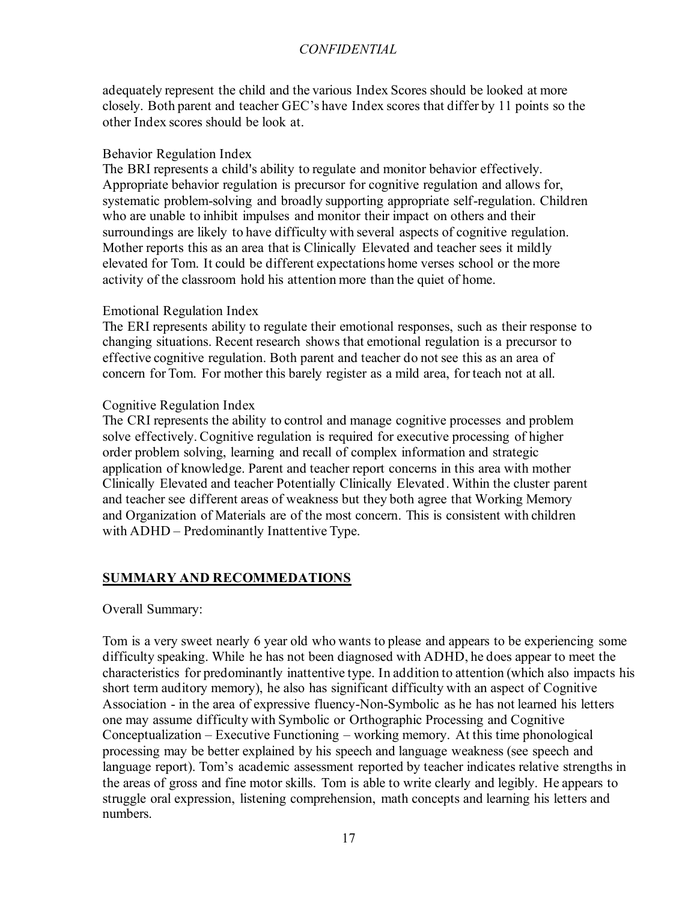adequately represent the child and the various Index Scores should be looked at more closely. Both parent and teacher GEC's have Index scores that differ by 11 points so the other Index scores should be look at.

#### Behavior Regulation Index

The BRI represents a child's ability to regulate and monitor behavior effectively. Appropriate behavior regulation is precursor for cognitive regulation and allows for, systematic problem-solving and broadly supporting appropriate self-regulation. Children who are unable to inhibit impulses and monitor their impact on others and their surroundings are likely to have difficulty with several aspects of cognitive regulation. Mother reports this as an area that is Clinically Elevated and teacher sees it mildly elevated for Tom. It could be different expectations home verses school or the more activity of the classroom hold his attention more than the quiet of home.

### Emotional Regulation Index

The ERI represents ability to regulate their emotional responses, such as their response to changing situations. Recent research shows that emotional regulation is a precursor to effective cognitive regulation. Both parent and teacher do not see this as an area of concern for Tom. For mother this barely register as a mild area, for teach not at all.

### Cognitive Regulation Index

The CRI represents the ability to control and manage cognitive processes and problem solve effectively. Cognitive regulation is required for executive processing of higher order problem solving, learning and recall of complex information and strategic application of knowledge. Parent and teacher report concerns in this area with mother Clinically Elevated and teacher Potentially Clinically Elevated. Within the cluster parent and teacher see different areas of weakness but they both agree that Working Memory and Organization of Materials are of the most concern. This is consistent with children with ADHD – Predominantly Inattentive Type.

# **SUMMARY AND RECOMMEDATIONS**

#### Overall Summary:

Tom is a very sweet nearly 6 year old who wants to please and appears to be experiencing some difficulty speaking. While he has not been diagnosed with ADHD, he does appear to meet the characteristics for predominantly inattentive type. In addition to attention (which also impacts his short term auditory memory), he also has significant difficulty with an aspect of Cognitive Association - in the area of expressive fluency-Non-Symbolic as he has not learned his letters one may assume difficulty with Symbolic or Orthographic Processing and Cognitive Conceptualization – Executive Functioning – working memory. At this time phonological processing may be better explained by his speech and language weakness (see speech and language report). Tom's academic assessment reported by teacher indicates relative strengths in the areas of gross and fine motor skills. Tom is able to write clearly and legibly. He appears to struggle oral expression, listening comprehension, math concepts and learning his letters and numbers.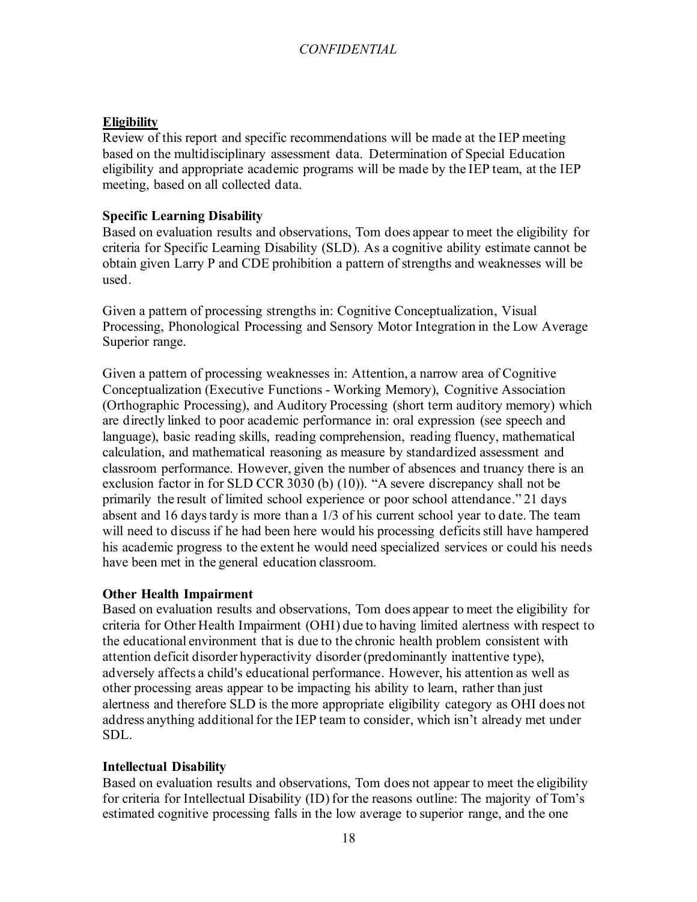### **Eligibility**

Review of this report and specific recommendations will be made at the IEP meeting based on the multidisciplinary assessment data. Determination of Special Education eligibility and appropriate academic programs will be made by the IEP team, at the IEP meeting, based on all collected data.

### **Specific Learning Disability**

Based on evaluation results and observations, Tom does appear to meet the eligibility for criteria for Specific Learning Disability (SLD). As a cognitive ability estimate cannot be obtain given Larry P and CDE prohibition a pattern of strengths and weaknesses will be used.

Given a pattern of processing strengths in: Cognitive Conceptualization, Visual Processing, Phonological Processing and Sensory Motor Integration in the Low Average Superior range.

Given a pattern of processing weaknesses in: Attention, a narrow area of Cognitive Conceptualization (Executive Functions - Working Memory), Cognitive Association (Orthographic Processing), and Auditory Processing (short term auditory memory) which are directly linked to poor academic performance in: oral expression (see speech and language), basic reading skills, reading comprehension, reading fluency, mathematical calculation, and mathematical reasoning as measure by standardized assessment and classroom performance. However, given the number of absences and truancy there is an exclusion factor in for SLD CCR 3030 (b) (10)). "A severe discrepancy shall not be primarily the result of limited school experience or poor school attendance." 21 days absent and 16 days tardy is more than a 1/3 of his current school year to date. The team will need to discuss if he had been here would his processing deficits still have hampered his academic progress to the extent he would need specialized services or could his needs have been met in the general education classroom.

### **Other Health Impairment**

Based on evaluation results and observations, Tom does appear to meet the eligibility for criteria for Other Health Impairment (OHI) due to having limited alertness with respect to the educational environment that is due to the chronic health problem consistent with attention deficit disorder hyperactivity disorder (predominantly inattentive type), adversely affects a child's educational performance. However, his attention as well as other processing areas appear to be impacting his ability to learn, rather than just alertness and therefore SLD is the more appropriate eligibility category as OHI does not address anything additional for the IEP team to consider, which isn't already met under SDL.

### **Intellectual Disability**

Based on evaluation results and observations, Tom does not appear to meet the eligibility for criteria for Intellectual Disability (ID) for the reasons outline: The majority of Tom's estimated cognitive processing falls in the low average to superior range, and the one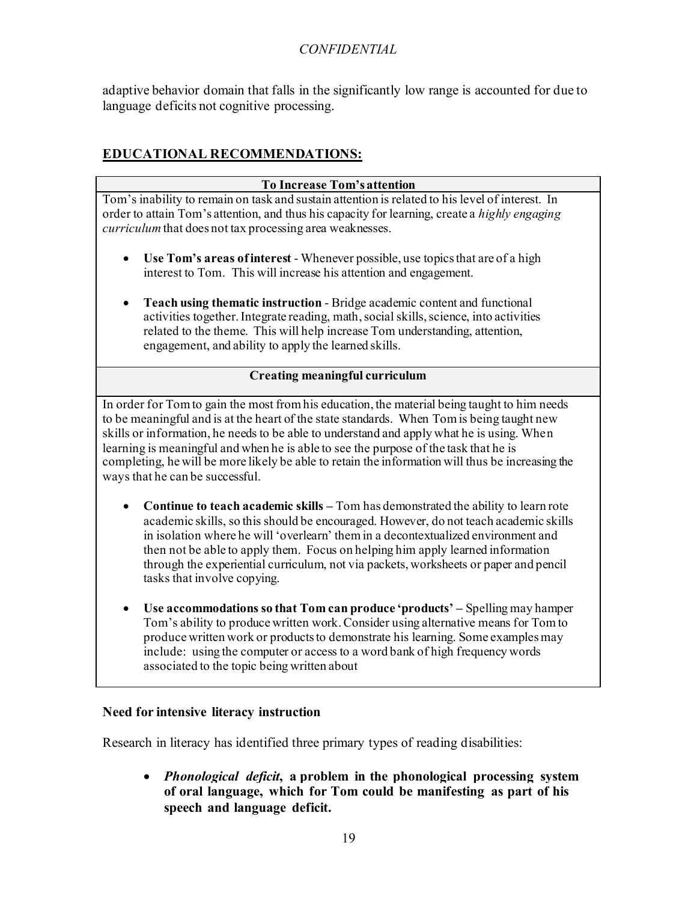adaptive behavior domain that falls in the significantly low range is accounted for due to language deficits not cognitive processing.

# **EDUCATIONAL RECOMMENDATIONS:**

| To Increase Tom's attention                                                                                                                                                                                                                                                                                                                                                                                                                                                                                           |
|-----------------------------------------------------------------------------------------------------------------------------------------------------------------------------------------------------------------------------------------------------------------------------------------------------------------------------------------------------------------------------------------------------------------------------------------------------------------------------------------------------------------------|
| Tom's inability to remain on task and sustain attention is related to his level of interest. In<br>order to attain Tom's attention, and thus his capacity for learning, create a highly engaging<br>curriculum that does not tax processing area weaknesses.                                                                                                                                                                                                                                                          |
| Use Tom's areas of interest - Whenever possible, use topics that are of a high<br>interest to Tom. This will increase his attention and engagement.                                                                                                                                                                                                                                                                                                                                                                   |
| Teach using thematic instruction - Bridge academic content and functional<br>$\bullet$<br>activities together. Integrate reading, math, social skills, science, into activities<br>related to the theme. This will help increase Tom understanding, attention,<br>engagement, and ability to apply the learned skills.                                                                                                                                                                                                |
| <b>Creating meaningful curriculum</b>                                                                                                                                                                                                                                                                                                                                                                                                                                                                                 |
| In order for Tom to gain the most from his education, the material being taught to him needs<br>to be meaningful and is at the heart of the state standards. When Tom is being taught new<br>skills or information, he needs to be able to understand and apply what he is using. When<br>learning is meaningful and when he is able to see the purpose of the task that he is<br>completing, he will be more likely be able to retain the information will thus be increasing the<br>ways that he can be successful. |
| <b>Continue to teach academic skills – Tom has demonstrated the ability to learn rote</b><br>academic skills, so this should be encouraged. However, do not teach academic skills<br>in isolation where he will 'overlearn' them in a decontextualized environment and<br>then not be able to apply them. Focus on helping him apply learned information<br>through the experiential curriculum, not via packets, worksheets or paper and pencil<br>tasks that involve copying.                                       |
| Use accommodations so that Tom can produce 'products' – Spelling may hamper<br>$\bullet$<br>Tom's ability to produce written work. Consider using alternative means for Tom to<br>produce written work or products to demonstrate his learning. Some examples may                                                                                                                                                                                                                                                     |

#### **Need for intensive literacy instruction**

associated to the topic being written about

Research in literacy has identified three primary types of reading disabilities:

• *Phonological deficit***, a problem in the phonological processing system of oral language, which for Tom could be manifesting as part of his speech and language deficit.**

include: using the computer or access to a word bank of high frequency words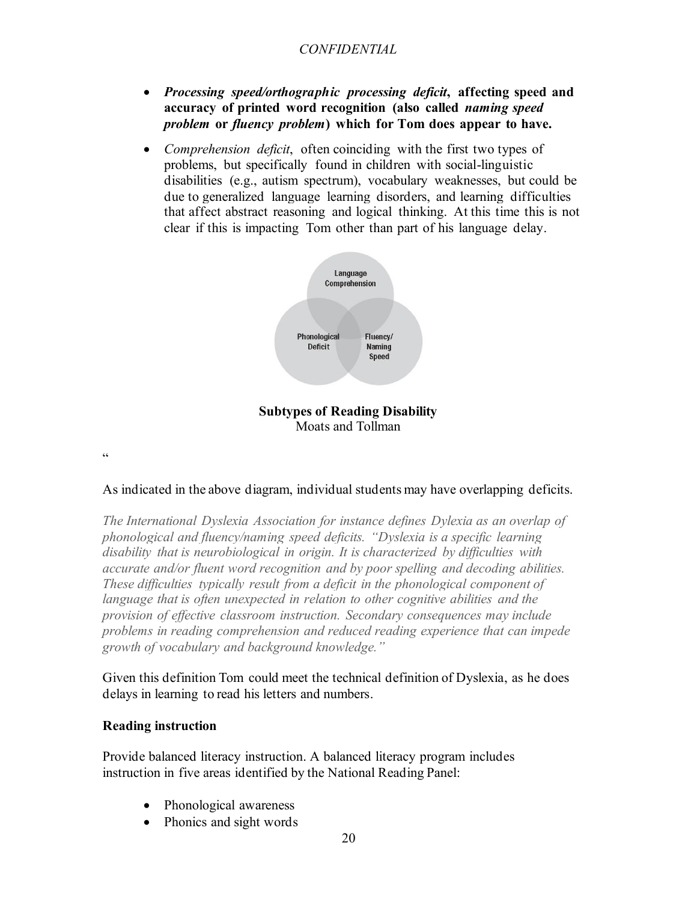- *Processing speed/orthographic processing deficit***, affecting speed and accuracy of printed word recognition (also called** *naming speed problem* **or** *fluency problem***) which for Tom does appear to have.**
- *Comprehension deficit*, often coinciding with the first two types of problems, but specifically found in children with social-linguistic disabilities (e.g., autism spectrum), vocabulary weaknesses, but could be due to generalized language learning disorders, and learning difficulties that affect abstract reasoning and logical thinking. At this time this is not clear if this is impacting Tom other than part of his language delay.



 $\epsilon$ 

#### As indicated in the above diagram, individual students may have overlapping deficits.

*The International Dyslexia Association for instance defines Dylexia as an overlap of phonological and fluency/naming speed deficits. "Dyslexia is a specific learning disability that is neurobiological in origin. It is characterized by difficulties with accurate and/or fluent word recognition and by poor spelling and decoding abilities. These difficulties typically result from a deficit in the phonological component of* language that is often unexpected in relation to other cognitive abilities and the *provision of effective classroom instruction. Secondary consequences may include problems in reading comprehension and reduced reading experience that can impede growth of vocabulary and background knowledge."* 

Given this definition Tom could meet the technical definition of Dyslexia, as he does delays in learning to read his letters and numbers.

#### **Reading instruction**

Provide balanced literacy instruction. A balanced literacy program includes instruction in five areas identified by the National Reading Panel:

- Phonological awareness
- Phonics and sight words